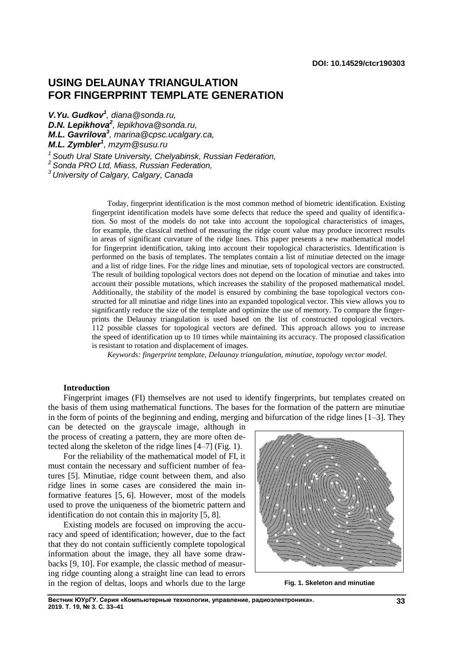# **USING DELAUNAY TRIANGULATION FOR FINGERPRINT TEMPLATE GENERATION**

*V.Yu. Gudkov<sup>1</sup> , diana@sonda.ru,*

*D.N. Lepikhova<sup>2</sup> , lepikhova@sonda.ru,* 

*M.L. Gavrilova<sup>3</sup> , marina@cpsc.ucalgary.ca,*

*M.L. Zymbler<sup>1</sup> , mzym@susu.ru* 

*<sup>1</sup>South Ural State University, Chelyabinsk, Russian Federation,*

*<sup>2</sup>Sonda PRO Ltd, Miass, Russian Federation,*

*<sup>3</sup>University of Calgary, Calgary, Canada*

Today, fingerprint identification is the most common method of biometric identification. Existing fingerprint identification models have some defects that reduce the speed and quality of identification. So most of the models do not take into account the topological characteristics of images, for example, the classical method of measuring the ridge count value may produce incorrect results in areas of significant curvature of the ridge lines. This paper presents a new mathematical model for fingerprint identification, taking into account their topological characteristics. Identification is performed on the basis of templates. The templates contain a list of minutiae detected on the image and a list of ridge lines. For the ridge lines and minutiae, sets of topological vectors are constructed. The result of building topological vectors does not depend on the location of minutiae and takes into account their possible mutations, which increases the stability of the proposed mathematical model. Additionally, the stability of the model is ensured by combining the base topological vectors constructed for all minutiae and ridge lines into an expanded topological vector. This view allows you to significantly reduce the size of the template and optimize the use of memory. To compare the fingerprints the Delaunay triangulation is used based on the list of constructed topological vectors. 112 possible classes for topological vectors are defined. This approach allows you to increase the speed of identification up to 10 times while maintaining its accuracy. The proposed classification is resistant to rotation and displacement of images.

*Keywords: fingerprint template, Delaunay triangulation, minutiae, topology vector model.*

### **Introduction**

Fingerprint images (FI) themselves are not used to identify fingerprints, but templates created on the basis of them using mathematical functions. The bases for the formation of the pattern are minutiae in the form of points of the beginning and ending, merging and bifurcation of the ridge lines [1–3]. They

can be detected on the grayscale image, although in the process of creating a pattern, they are more often detected along the skeleton of the ridge lines [4–7] (Fig. 1).

For the reliability of the mathematical model of FI, it must contain the necessary and sufficient number of features [5]. Minutiae, ridge count between them, and also ridge lines in some cases are considered the main informative features [5, 6]. However, most of the models used to prove the uniqueness of the biometric pattern and identification do not contain this in majority [5, 8].

Existing models are focused on improving the accuracy and speed of identification; however, due to the fact that they do not contain sufficiently complete topological information about the image, they all have some drawbacks [9, 10]. For example, the classic method of measuring ridge counting along a straight line can lead to errors in the region of deltas, loops and whorls due to the large **Fig. 1. Skeleton and minutiae**

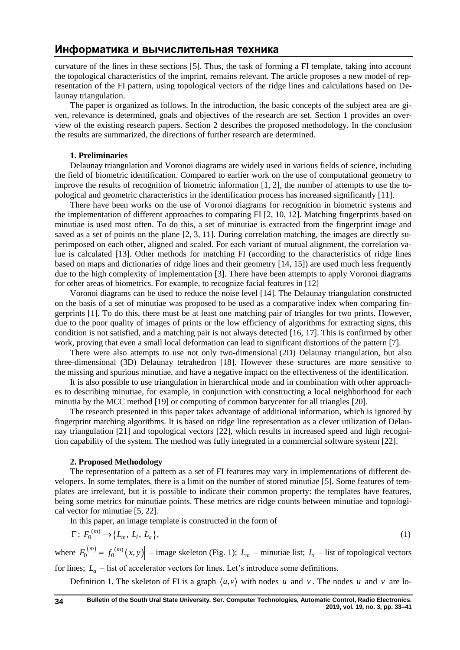curvature of the lines in these sections [5]. Thus, the task of forming a FI template, taking into account the topological characteristics of the imprint, remains relevant. The article proposes a new model of representation of the FI pattern, using topological vectors of the ridge lines and calculations based on Delaunay triangulation.

The paper is organized as follows. In the introduction, the basic concepts of the subject area are given, relevance is determined, goals and objectives of the research are set. Section 1 provides an overview of the existing research papers. Section 2 describes the proposed methodology. In the conclusion the results are summarized, the directions of further research are determined.

### **1. Preliminaries**

Delaunay triangulation and Voronoi diagrams are widely used in various fields of science, including the field of biometric identification. Compared to earlier work on the use of computational geometry to improve the results of recognition of biometric information [1, 2], the number of attempts to use the topological and geometric characteristics in the identification process has increased significantly [11].

There have been works on the use of Voronoi diagrams for recognition in biometric systems and the implementation of different approaches to comparing FI [2, 10, 12]. Matching fingerprints based on minutiae is used most often. To do this, a set of minutiae is extracted from the fingerprint image and saved as a set of points on the plane [2, 3, 11]. During correlation matching, the images are directly superimposed on each other, aligned and scaled. For each variant of mutual alignment, the correlation value is calculated [13]. Other methods for matching FI (according to the characteristics of ridge lines based on maps and dictionaries of ridge lines and their geometry [14, 15]) are used much less frequently due to the high complexity of implementation [3]. There have been attempts to apply Voronoi diagrams for other areas of biometrics. For example, to recognize facial features in [12]

Voronoi diagrams can be used to reduce the noise level [14]. The Delaunay triangulation constructed on the basis of a set of minutiae was proposed to be used as a comparative index when comparing fingerprints [1]. To do this, there must be at least one matching pair of triangles for two prints. However, due to the poor quality of images of prints or the low efficiency of algorithms for extracting signs, this condition is not satisfied, and a matching pair is not always detected [16, 17]. This is confirmed by other work, proving that even a small local deformation can lead to significant distortions of the pattern [7].

There were also attempts to use not only two-dimensional (2D) Delaunay triangulation, but also three-dimensional (3D) Delaunay tetrahedron [18]. However these structures are more sensitive to the missing and spurious minutiae, and have a negative impact on the effectiveness of the identification.

It is also possible to use triangulation in hierarchical mode and in combination with other approaches to describing minutiae, for example, in conjunction with constructing a local neighborhood for each minutia by the MCC method [19] or computing of common barycenter for all triangles [20].

The research presented in this paper takes advantage of additional information, which is ignored by fingerprint matching algorithms. It is based on ridge line representation as a clever utilization of Delaunay triangulation [21] and topological vectors [22], which results in increased speed and high recognition capability of the system. The method was fully integrated in a commercial software system [22].

### **2. Proposed Methodology**

The representation of a pattern as a set of FI features may vary in implementations of different developers. In some templates, there is a limit on the number of stored minutiae [5]. Some features of templates are irrelevant, but it is possible to indicate their common property: the templates have features, being some metrics for minutiae points. These metrics are ridge counts between minutiae and topological vector for minutiae [5, 22].

In this paper, an image template is constructed in the form of

$$
\Gamma: F_0^{(m)} \to \{L_m, L_l, L_a\},\tag{1}
$$

where  $F_0^{(m)} = |f_0^{(m)}(x, y)|$  – image skeleton (Fig. 1);  $L_m$  – minutiae list;  $L_l$  – list of topological vectors

for lines;  $L_a$  – list of accelerator vectors for lines. Let's introduce some definitions.

Definition 1. The skeleton of FI is a graph  $\langle u, v \rangle$  with nodes u and v. The nodes u and v are lo-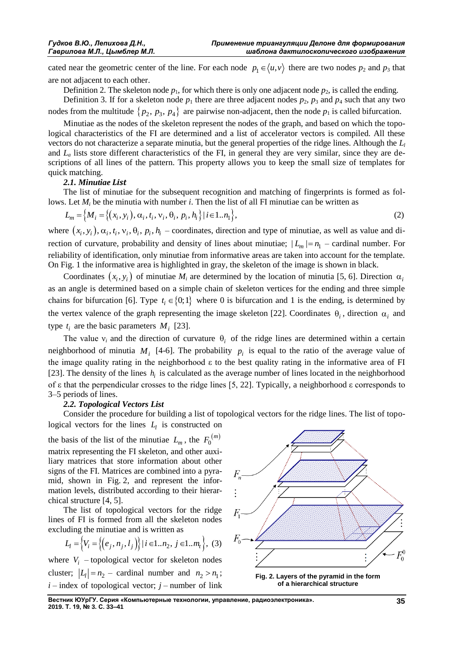cated near the geometric center of the line. For each node  $p_1 \in \langle u, v \rangle$  there are two nodes  $p_2$  and  $p_3$  that are not adjacent to each other.

Definition 2. The skeleton node  $p_1$ , for which there is only one adjacent node  $p_2$ , is called the ending.

Definition 3. If for a skeleton node  $p_1$  there are three adjacent nodes  $p_2$ ,  $p_3$  and  $p_4$  such that any two nodes from the multitude  $\{p_2, p_3, p_4\}$  are pairwise non-adjacent, then the node  $p_1$  is called bifurcation.

Minutiae as the nodes of the skeleton represent the nodes of the graph, and based on which the topological characteristics of the FI are determined and a list of accelerator vectors is compiled. All these vectors do not characterize a separate minutia, but the general properties of the ridge lines. Although the *L<sup>l</sup>* and  $L_a$  lists store different characteristics of the FI, in general they are very similar, since they are descriptions of all lines of the pattern. This property allows you to keep the small size of templates for quick matching.

# *2.1. Minutiae List*

The list of minutiae for the subsequent recognition and matching of fingerprints is formed as fol-

lows. Let 
$$
M_i
$$
 be the minutia with number *i*. Then the list of all FI minutiae can be written as  
\n
$$
L_m = \Big\{ M_i = \Big\{ (x_i, y_i), \alpha_i, t_i, v_i, \theta_i, p_i, h_i \Big\} | i \in 1..n_1 \Big\},
$$
\n(2)

where  $(x_i, y_i)$ ,  $\alpha_i$ ,  $t_i$ ,  $v_i$ ,  $\theta_i$ ,  $p_i$ ,  $h_i$  – coordinates, direction and type of minutiae, as well as value and direction of curvature, probability and density of lines about minutiae;  $|L_m| = n_1$  – cardinal number. For reliability of identification, only minutiae from informative areas are taken into account for the template. On Fig. 1 the informative area is highlighted in gray, the skeleton of the image is shown in black.

Coordinates  $(x_i, y_i)$  of minutiae  $M_i$  are determined by the location of minutia [5, 6]. Direction  $\alpha_i$ as an angle is determined based on a simple chain of skeleton vertices for the ending and three simple chains for bifurcation [6]. Type  $t_i \in \{0, 1\}$  where 0 is bifurcation and 1 is the ending, is determined by the vertex valence of the graph representing the image skeleton [22]. Coordinates  $\theta_i$ , direction  $\alpha_i$  and type  $t_i$  are the basic parameters  $M_i$  [23].

The value  $v_i$  and the direction of curvature  $\theta_i$  of the ridge lines are determined within a certain neighborhood of minutia  $M_i$  [4-6]. The probability  $p_i$  is equal to the ratio of the average value of the image quality rating in the neighborhood ε to the best quality rating in the informative area of FI [23]. The density of the lines  $h_i$  is calculated as the average number of lines located in the neighborhood of ε that the perpendicular crosses to the ridge lines [5, 22]. Typically, a neighborhood ε corresponds to 3–5 periods of lines.

# *2.2. Topological Vectors List*

Consider the procedure for building a list of topological vectors for the ridge lines. The list of topological vectors for the lines  $L_l$  is constructed on

the basis of the list of the minutiae  $L_m$ , the  $F_0^{(m)}$  $F_0^{(m)}$ matrix representing the FI skeleton, and other auxiliary matrices that store information about other signs of the FI. Matrices are combined into a pyramid, shown in Fig. 2, and represent the information levels, distributed according to their hierarchical structure [4, 5].

The list of topological vectors for the ridge lines of FI is formed from all the skeleton nodes

excluding the minute and is written as  
\n
$$
L_l = \left\{ V_i = \left\{ \left( e_j, n_j, l_j \right) \right\} | i \in 1..n_2, j \in 1..m_t \right\}, (3)
$$

where  $V_i$  – topological vector for skeleton nodes cluster;  $|L_1| = n_2$  – cardinal number and  $n_2 > n_1$ ;  $i$  – index of topological vector;  $j$  – number of link



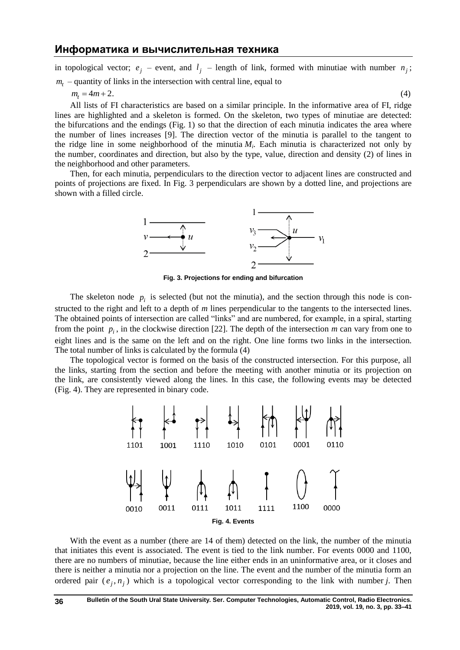in topological vector;  $e_j$  – event, and  $l_j$  – length of link, formed with minutiae with number  $n_j$ ;

$$
m_t
$$
 – quantity of links in the intersection with central line, equal to

$$
m_t = 4m + 2. \tag{4}
$$

All lists of FI characteristics are based on a similar principle. In the informative area of FI, ridge lines are highlighted and a skeleton is formed. On the skeleton, two types of minutiae are detected: the bifurcations and the endings (Fig. 1) so that the direction of each minutia indicates the area where the number of lines increases [9]. The direction vector of the minutia is parallel to the tangent to the ridge line in some neighborhood of the minutia  $M_i$ . Each minutia is characterized not only by the number, coordinates and direction, but also by the type, value, direction and density (2) of lines in the neighborhood and other parameters.

Then, for each minutia, perpendiculars to the direction vector to adjacent lines are constructed and points of projections are fixed. In Fig. 3 perpendiculars are shown by a dotted line, and projections are shown with a filled circle.



**Fig. 3. Projections for ending and bifurcation**

The skeleton node  $p_i$  is selected (but not the minutia), and the section through this node is constructed to the right and left to a depth of *m* lines perpendicular to the tangents to the intersected lines. The obtained points of intersection are called "links" and are numbered, for example, in a spiral, starting from the point  $p_i$ , in the clockwise direction [22]. The depth of the intersection  $m$  can vary from one to eight lines and is the same on the left and on the right. One line forms two links in the intersection. The total number of links is calculated by the formula (4)

The topological vector is formed on the basis of the constructed intersection. For this purpose, all the links, starting from the section and before the meeting with another minutia or its projection on the link, are consistently viewed along the lines. In this case, the following events may be detected (Fig. 4). They are represented in binary code.



With the event as a number (there are 14 of them) detected on the link, the number of the minutia that initiates this event is associated. The event is tied to the link number. For events 0000 and 1100, there are no numbers of minutiae, because the line either ends in an uninformative area, or it closes and there is neither a minutia nor a projection on the line. The event and the number of the minutia form an ordered pair  $(e_j, n_j)$  which is a topological vector corresponding to the link with number *j*. Then

**36**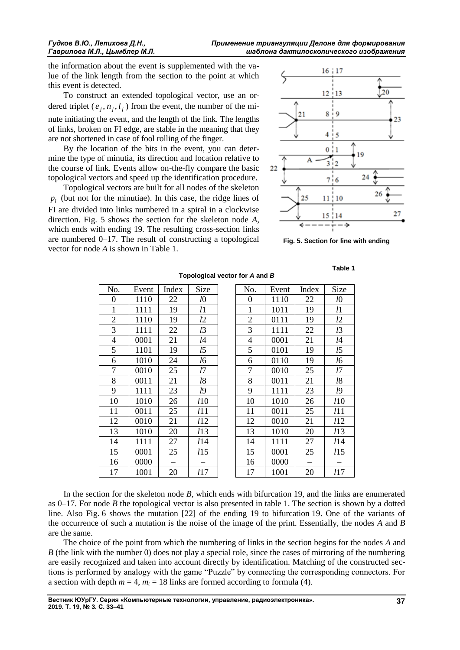the information about the event is supplemented with the value of the link length from the section to the point at which this event is detected.

To construct an extended topological vector, use an ordered triplet  $(e_j, n_j, l_j)$  from the event, the number of the minute initiating the event, and the length of the link. The lengths of links, broken on FI edge, are stable in the meaning that they are not shortened in case of fool rolling of the finger.

By the location of the bits in the event, you can determine the type of minutia, its direction and location relative to the course of link. Events allow on-the-fly compare the basic topological vectors and speed up the identification procedure.

Topological vectors are built for all nodes of the skeleton  $p_i$  (but not for the minutiae). In this case, the ridge lines of FI are divided into links numbered in a spiral in a clockwise direction. Fig. 5 shows the section for the skeleton node *A*, which ends with ending 19. The resulting cross-section links are numbered 0–17. The result of constructing a topological vector for node *A* is shown in Table 1.



**Fig. 5. Section for line with ending**

# No. | Event | Index | Size | | No. | Event | Index | Size 0 | 1110 | 22 | *l*0 | | 0 | 1110 | 22 | *l*0 1 | 1111 | 19 | *l*1 | | 1 | 1011 | 19 | *l*1 2 1110 19 *l*2 2 0111 19 *l*2 3 1111 22 *l*3 3 1111 22 *l*3 4 0001 21 *l*4 4 0001 21 *l*4 5 1101 19 *l*5 5 0101 19 *l*5 6 1010 24 *l*6 6 0110 19 *l*6 7 0010 25 *l*7 7 0010 25 *l*7 8 0011 21 *l*8 8 0011 21 *l*8 9 1111 23 *l*9 9 1111 23 *l*9 10 1010 26 *l*10 10 1010 26 *l*10 11 0011 25 *l*11 11 0011 25 *l*11 12 0010 21 *l*12 12 0010 21 *l*12 13 1010 20 *l*13 13 1010 20 *l*13 14 1111 27 *l*14 14 1111 27 *l*14 15 0001 25 *l*15 15 0001 25 *l*15  $16 \mid 0000 \mid - \mid - \mid 16 \mid 0000 \mid - \mid -$

**Topological vector for** *A* **and** *B*

**Table 1**

| No.              | Event | Index | Size           | No.              | Event | Index | Size        |
|------------------|-------|-------|----------------|------------------|-------|-------|-------------|
| $\boldsymbol{0}$ | 1110  | 22    | l <sub>0</sub> | $\boldsymbol{0}$ | 1110  | 22    | l0          |
| $\mathbf{1}$     | 1111  | 19    | l1             | 1                | 1011  | 19    | l1          |
| $\overline{2}$   | 1110  | 19    | 12             | $\overline{2}$   | 0111  | 19    | l2          |
| 3                | 1111  | 22    | l3             | 3                | 1111  | 22    | l3          |
| $\overline{4}$   | 0001  | 21    | l4             | $\overline{4}$   | 0001  | 21    | l4          |
| 5                | 1101  | 19    | l5             | 5                | 0101  | 19    | l5          |
| 6                | 1010  | 24    | 16             | 6                | 0110  | 19    | l6          |
| $\overline{7}$   | 0010  | 25    | 17             | 7                | 0010  | 25    | l7          |
| 8                | 0011  | 21    | l8             | 8                | 0011  | 21    | l8          |
| 9                | 1111  | 23    | l9             | 9                | 1111  | 23    | 19          |
| 10               | 1010  | 26    | <i>l</i> 10    | 10               | 1010  | 26    | <i>l</i> 10 |
| 11               | 0011  | 25    | 111            | 11               | 0011  | 25    | l11         |
| 12               | 0010  | 21    | 112            | 12               | 0010  | 21    | l12         |
| 13               | 1010  | 20    | 113            | 13               | 1010  | 20    | l13         |
| $\overline{14}$  | 1111  | 27    | <i>l</i> 14    | 14               | 1111  | 27    | 114         |
| $\overline{15}$  | 0001  | 25    | 115            | 15               | 0001  | 25    | l15         |
| 16               | 0000  |       |                | 16               | 0000  |       |             |
| 17               | 1001  | 20    | 117            | 17               | 1001  | 20    | l17         |
|                  |       |       |                |                  |       |       |             |

In the section for the skeleton node *B*, which ends with bifurcation 19, and the links are enumerated as 0–17. For node *B* the topological vector is also presented in table 1. The section is shown by a dotted line. Also Fig. 6 shows the mutation [22] of the ending 19 to bifurcation 19. One of the variants of the occurrence of such a mutation is the noise of the image of the print. Essentially, the nodes *A* and *B* are the same.

The choice of the point from which the numbering of links in the section begins for the nodes *A* and *B* (the link with the number 0) does not play a special role, since the cases of mirroring of the numbering are easily recognized and taken into account directly by identification. Matching of the constructed sections is performed by analogy with the game "Puzzle" by connecting the corresponding connectors. For a section with depth  $m = 4$ ,  $m_t = 18$  links are formed according to formula (4).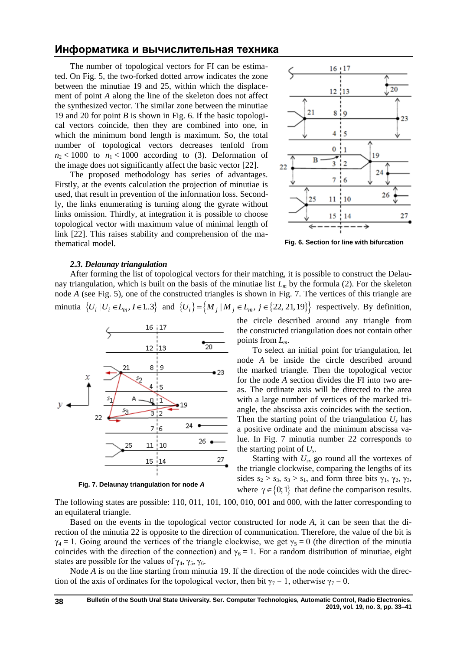The number of topological vectors for FI can be estimated. On Fig. 5, the two-forked dotted arrow indicates the zone between the minutiae 19 and 25, within which the displacement of point *A* along the line of the skeleton does not affect the synthesized vector. The similar zone between the minutiae 19 and 20 for point *B* is shown in Fig. 6. If the basic topological vectors coincide, then they are combined into one, in which the minimum bond length is maximum. So, the total number of topological vectors decreases tenfold from  $n_2$  < 1000 to  $n_1$  < 1000 according to (3). Deformation of the image does not significantly affect the basic vector [22].

The proposed methodology has series of advantages. Firstly, at the events calculation the projection of minutiae is used, that result in prevention of the information loss. Secondly, the links enumerating is turning along the gyrate without links omission. Thirdly, at integration it is possible to choose topological vector with maximum value of minimal length of link [22]. This raises stability and comprehension of the mathematical model.



**Fig. 6. Section for line with bifurcation**

#### *2.3. Delaunay triangulation*

After forming the list of topological vectors for their matching, it is possible to construct the Delaunay triangulation, which is built on the basis of the minutiae list  $L_m$  by the formula (2). For the skeleton node *A* (see Fig. 5), one of the constructed triangles is shown in Fig. 7. The vertices of this triangle are node *A* (see Fig. 5), one of the constructed triangles is shown in Fig. 7. The vertices of this triangle are minutia  $\{U_i | U_i \in L_m, I \in 1..3\}$  and  $\{U_i\} = \{M_j | M_j \in L_m, j \in \{22, 21, 19\}\}$  respectively. By definition,



**Fig. 7. Delaunay triangulation for node** *A*

the circle described around any triangle from the constructed triangulation does not contain other points from *Lm*.

To select an initial point for triangulation, let node *A* be inside the circle described around the marked triangle. Then the topological vector for the node *A* section divides the FI into two areas. The ordinate axis will be directed to the area with a large number of vertices of the marked triangle, the abscissa axis coincides with the section. Then the starting point of the triangulation  $U<sub>s</sub>$  has a positive ordinate and the minimum abscissa value. In Fig. 7 minutia number 22 corresponds to the starting point of *U<sup>s</sup>* .

Starting with  $U_s$ , go round all the vortexes of the triangle clockwise, comparing the lengths of its sides  $s_2 > s_3$ ,  $s_3 > s_1$ , and form three bits  $\gamma_1$ ,  $\gamma_2$ ,  $\gamma_3$ , where  $\gamma \in \{0, 1\}$  that define the comparison results.

The following states are possible: 110, 011, 101, 100, 010, 001 and 000, with the latter corresponding to an equilateral triangle.

Based on the events in the topological vector constructed for node *A*, it can be seen that the direction of the minutia 22 is opposite to the direction of communication. Therefore, the value of the bit is  $\gamma_4 = 1$ . Going around the vertices of the triangle clockwise, we get  $\gamma_5 = 0$  (the direction of the minutia coincides with the direction of the connection) and  $\gamma_6 = 1$ . For a random distribution of minutiae, eight states are possible for the values of  $\gamma_4$ ,  $\gamma_5$ ,  $\gamma_6$ .

Node *A* is on the line starting from minutia 19. If the direction of the node coincides with the direction of the axis of ordinates for the topological vector, then bit  $\gamma_7 = 1$ , otherwise  $\gamma_7 = 0$ .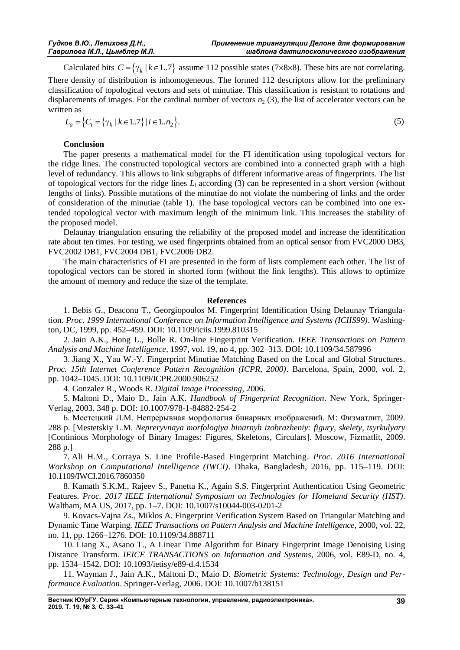Calculated bits  $C = \{\gamma_k \mid k \in 1..7\}$  assume 112 possible states (7×8×8). These bits are not correlating. There density of distribution is inhomogeneous. The formed 112 descriptors allow for the preliminary classification of topological vectors and sets of minutiae. This classification is resistant to rotations and displacements of images. For the cardinal number of vectors  $n<sub>2</sub>$  (3), the list of accelerator vectors can be written as en as<br>  $L_a = \{ C_i = \{ \gamma_k \mid k \in 1..7 \} \mid i \in 1..n_2 \}.$  (5)

$$
L_a = \{C_i = \{ \gamma_k \mid k \in 1..7 \} \mid i \in 1..n_2 \}.
$$

# **Conclusion**

The paper presents a mathematical model for the FI identification using topological vectors for the ridge lines. The constructed topological vectors are combined into a connected graph with a high level of redundancy. This allows to link subgraphs of different informative areas of fingerprints. The list of topological vectors for the ridge lines *L<sup>l</sup>* according (3) can be represented in a short version (without lengths of links). Possible mutations of the minutiae do not violate the numbering of links and the order of consideration of the minutiae (table 1). The base topological vectors can be combined into one extended topological vector with maximum length of the minimum link. This increases the stability of the proposed model.

Delaunay triangulation ensuring the reliability of the proposed model and increase the identification rate about ten times. For testing, we used fingerprints obtained from an optical sensor from FVC2000 DB3, FVC2002 DB1, FVC2004 DB1, FVC2006 DB2.

The main characteristics of FI are presented in the form of lists complement each other. The list of topological vectors can be stored in shorted form (without the link lengths). This allows to optimize the amount of memory and reduce the size of the template.

# **References**

1. Bebis G., Deaconu T., Georgiopoulos M. Fingerprint Identification Using Delaunay Triangulation. *Proc. 1999 International Conference on Information Intelligence and Systems (ICIIS99)*. Washington, DC, 1999, pp. 452–459. DOI: 10.1109/iciis.1999.810315

2. Jain A.K., Hong L., Bolle R. On-line Fingerprint Verification. *IEEE Transactions on Pattern Analysis and Machine Intelligence*, 1997, vol. 19, no 4, pp. 302–313. DOI: 10.1109/34.587996

3. Jiang X., Yau W.-Y. Fingerprint Minutiae Matching Based on the Local and Global Structures. *Proc. 15th Internet Conference Pattern Recognition (ICPR, 2000)*. Barcelona, Spain, 2000, vol. 2, pp. 1042–1045. DOI: 10.1109/ICPR.2000.906252

4. Gonzalez R., Woods R. *Digital Image Processing*, 2006.

5. Maltoni D., Maio D., Jain A.K. *Handbook of Fingerprint Recognition*. New York, Springer-Verlag, 2003. 348 p. DOI: 10.1007/978-1-84882-254-2

6. Местецкий Л.М. Непрерывная морфология бинарных изображений. М: Физматлит, 2009. 288 p. [Mestetskiy L.M. *Nepreryvnaya morfologiya binarnyh izobrazheniy: figury, skelety, tsyrkulyary* [Continious Morphology of Binary Images: Figures, Skeletons, Circulars]. Moscow, Fizmatlit, 2009. 288 p.]

7. Ali H.M., Corraya S. Line Profile-Based Fingerprint Matching. *Proc. 2016 International Workshop on Computational Intelligence (IWCI)*. Dhaka, Bangladesh, 2016, pp. 115–119. DOI: [10.1109/IWCI.2016.7860350](https://doi.org/10.1109/IWCI.2016.7860350)

8. Kamath S.K.M., Rajeev S., Panetta K., Again S.S. Fingerprint Authentication Using Geometric Features. *Proc. 2017 IEEE International Symposium on Technologies for Homeland Security (HST)*. Waltham, MA US, 2017, pp. 1–7. DOI: [10.1007/s10044-003-0201-2](http://dx.doi.org/10.1007/s10044-003-0201-2)

9. Kovacs-Vajna Zs., Miklos A. Fingerprint Verification System Based on Triangular Matching and Dynamic Time Warping. *IEEE Transactions on Pattern Analysis and Machine Intelligence*, 2000, vol. 22, no. 11, pp. 1266–1276. DOI: [10.1109/34.888711](https://doi.org/10.1109/34.888711)

10. Liang X., Asano T., A Linear Time Algorithm for Binary Fingerprint Image Denoising Using Distance Transform. *IEICE TRANSACTIONS on Information and Systems*, 2006, vol. E89-D, no. 4, pp. 1534–1542. DOI: 10.1093/ietisy/e89-d.4.1534

11. Wayman J., Jain A.K., Maltoni D., Maio D. *Biometric Systems: Technology, Design and Performance Evaluation*. Springer-Verlag, 2006. DOI: 10.1007/b138151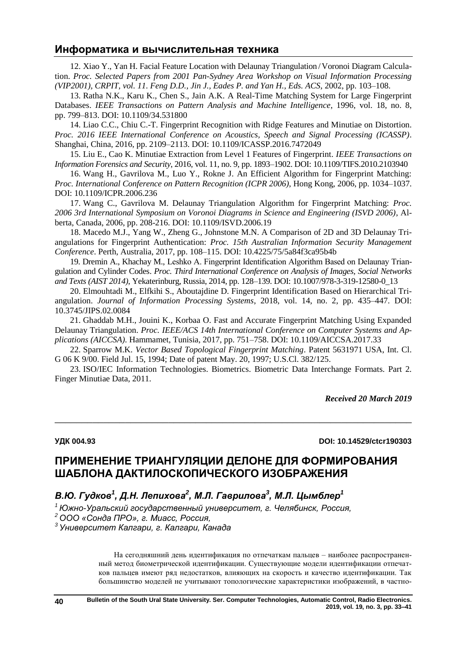12. Xiao Y., Yan H. Facial Feature Location with Delaunay Triangulation /Voronoi Diagram Calculation. *Proc. Selected Papers from 2001 Pan-Sydney Area Workshop on Visual Information Processing (VIP2001), CRPIT, vol. 11. Feng D.D., Jin J., Eades P. and Yan H., Eds. ACS*, 2002, pp. 103–108.

13. Ratha N.K., Karu K., Chen S., Jain A.K. A Real-Time Matching System for Large Fingerprint Databases. *IEEE Transactions on Pattern Analysis and Machine Intelligence*, 1996, vol. 18, no. 8, pp. 799–813. DOI: 10.1109/34.531800

14. Liao C.C., Chiu C.-T. Fingerprint Recognition with Ridge Features and Minutiae on Distortion. *Proc. 2016 IEEE International Conference on Acoustics, Speech and Signal Processing (ICASSP)*. Shanghai, China, 2016, pp. 2109–2113. DOI: 10.1109/ICASSP.2016.7472049

15. Liu E., Cao K. Minutiae Extraction from Level 1 Features of Fingerprint. *IEEE Transactions on Information Forensics and Security*, 2016, vol. 11[, no. 9,](https://ieeexplore.ieee.org/xpl/tocresult.jsp?isnumber=7490329) pp. 1893–1902. DOI: 10.1109/TIFS.2010.2103940

16. Wang H., Gavrilova M., Luo Y., Rokne J. An Efficient Algorithm for Fingerprint Matching: *Proc. International Conference on Pattern Recognition (ICPR 2006)*, Hong Kong, 2006, pp. 1034–1037. DOI: 10.1109/ICPR.2006.236

17. Wang C., Gavrilova M. Delaunay Triangulation Algorithm for Fingerprint Matching: *Proc. 2006 3rd International Symposium on Voronoi Diagrams in Science and Engineering (ISVD 2006)*, Alberta, Canada, 2006, pp. 208-216. DOI: 10.1109/ISVD.2006.19

18. Macedo M.J., Yang W., Zheng G., Johnstone M.N. A Comparison of 2D and 3D Delaunay Triangulations for Fingerprint Authentication: *Proc. 15th Australian Information Security Management Conference*. Perth, Australia, 2017, pp. 108–115. DOI: 10.4225/75/5a84f3ca95b4b

19. Dremin A., Khachay M., Leshko A. Fingerprint Identification Algorithm Based on Delaunay Triangulation and Cylinder Codes. *Proc. Third International Conference on Analysis of Images, Social Networks and Texts (AIST 2014)*, Yekaterinburg, Russia, 2014, pp. 128–139. DOI: 10.1007/978-3-319-12580-0\_13

20. Elmouhtadi M., Elfkihi S., Aboutajdine D. Fingerprint Identification Based on Hierarchical Triangulation. *Journal of Information Processing Systems*, 2018, vol. 14, no. 2, pp. 435–447. DOI: [10.3745/JIPS.02.0084](http://dx.doi.org/10.3745/JIPS.02.0084)

21. Ghaddab M.H., Jouini K., Korbaa O. Fast and Accurate Fingerprint Matching Using Expanded Delaunay Triangulation. *Proc. IEEE/ACS 14th International Conference on Computer Systems and Applications (AICCSA)*. Hammamet, Tunisia, 2017, pp. 751–758. DOI: [10.1109/AICCSA.2017.33](https://doi.org/10.1109/AICCSA.2017.33)

22. Sparrow M.K. *Vector Based Topological Fingerprint Matching*. Patent 5631971 USA, Int. Cl. G 06 K 9/00. Field Jul. 15, 1994; Date of patent May. 20, 1997; U.S.Cl. 382/125.

23. ISO/IEC Information Technologies. Biometrics. Biometric Data Interchange Formats. Part 2. Finger Minutiae Data, 2011.

 $\overline{a_1}$  , and the set of the set of the set of the set of the set of the set of the set of the set of the set of the set of the set of the set of the set of the set of the set of the set of the set of the set of the se

*Received 20 March 2019*

**УДК 004.93 DOI: 10.14529/ctcr190303**

# **ПРИМЕНЕНИЕ ТРИАНГУЛЯЦИИ ДЕЛОНЕ ДЛЯ ФОРМИРОВАНИЯ ШАБЛОНА ДАКТИЛОСКОПИЧЕСКОГО ИЗОБРАЖЕНИЯ**

# *В.Ю. Гудков<sup>1</sup> , Д.Н. Лепихова<sup>2</sup> , М.Л. Гаврилова<sup>3</sup> , М.Л. Цымблер<sup>1</sup>*

*<sup>1</sup>Южно-Уральский государственный университет, г. Челябинск, Россия,*

*<sup>2</sup>ООО «Сонда ПРО», г. Миасс, Россия,*

*<sup>3</sup>Университет Калгари, г. Калгари, Канада*

На сегодняшний день идентификация по отпечаткам пальцев – наиболее распространенный метод биометрической идентификации. Существующие модели идентификации отпечатков пальцев имеют ряд недостатков, влияющих на скорость и качество идентификации. Так большинство моделей не учитывают топологические характеристики изображений, в частно